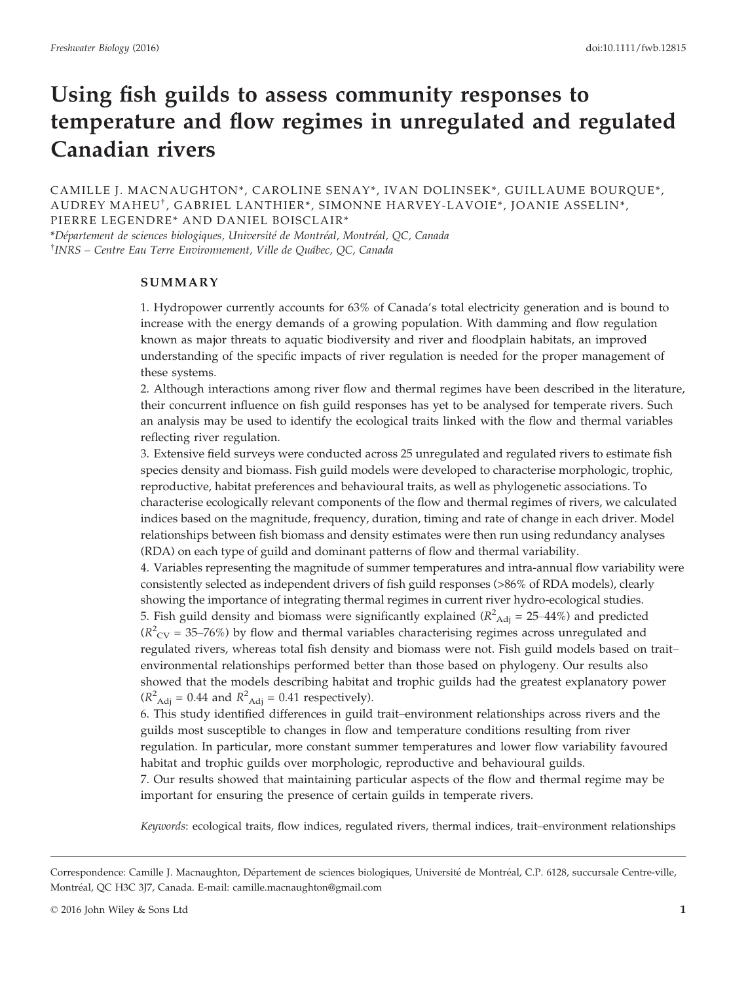# Using fish guilds to assess community responses to temperature and flow regimes in unregulated and regulated Canadian rivers

CAMILLE J. MACNAUGHTON\*, CAROLINE SENAY\*, IVAN DOLINSEK\*, GUILLAUME BOURQUE\*, AUDREY MAHEU† , GABRIEL LANTHIER\*, SIMONNE HARVEY-LAVOIE\*, JOANIE ASSELIN\*, PIERRE LEGENDRE\* AND DANIEL BOISCLAIR\*

\*Département de sciences biologiques, Université de Montréal, Montréal, QC, Canada † INRS – Centre Eau Terre Environnement, Ville de Quabec, QC, Canada

# SUMMARY

1. Hydropower currently accounts for 63% of Canada's total electricity generation and is bound to increase with the energy demands of a growing population. With damming and flow regulation known as major threats to aquatic biodiversity and river and floodplain habitats, an improved understanding of the specific impacts of river regulation is needed for the proper management of these systems.

2. Although interactions among river flow and thermal regimes have been described in the literature, their concurrent influence on fish guild responses has yet to be analysed for temperate rivers. Such an analysis may be used to identify the ecological traits linked with the flow and thermal variables reflecting river regulation.

3. Extensive field surveys were conducted across 25 unregulated and regulated rivers to estimate fish species density and biomass. Fish guild models were developed to characterise morphologic, trophic, reproductive, habitat preferences and behavioural traits, as well as phylogenetic associations. To characterise ecologically relevant components of the flow and thermal regimes of rivers, we calculated indices based on the magnitude, frequency, duration, timing and rate of change in each driver. Model relationships between fish biomass and density estimates were then run using redundancy analyses (RDA) on each type of guild and dominant patterns of flow and thermal variability.

4. Variables representing the magnitude of summer temperatures and intra-annual flow variability were consistently selected as independent drivers of fish guild responses (>86% of RDA models), clearly showing the importance of integrating thermal regimes in current river hydro-ecological studies. 5. Fish guild density and biomass were significantly explained ( $R^2$ <sub>Adj</sub> = 25–44%) and predicted  $(R^2_{\text{CV}} = 35{\text -}76\%)$  by flow and thermal variables characterising regimes across unregulated and regulated rivers, whereas total fish density and biomass were not. Fish guild models based on trait– environmental relationships performed better than those based on phylogeny. Our results also showed that the models describing habitat and trophic guilds had the greatest explanatory power  $(R^2_{\text{Adj}} = 0.44$  and  $R^2_{\text{Adj}} = 0.41$  respectively).

6. This study identified differences in guild trait–environment relationships across rivers and the guilds most susceptible to changes in flow and temperature conditions resulting from river regulation. In particular, more constant summer temperatures and lower flow variability favoured habitat and trophic guilds over morphologic, reproductive and behavioural guilds.

7. Our results showed that maintaining particular aspects of the flow and thermal regime may be important for ensuring the presence of certain guilds in temperate rivers.

Keywords: ecological traits, flow indices, regulated rivers, thermal indices, trait–environment relationships

Correspondence: Camille J. Macnaughton, Département de sciences biologiques, Université de Montréal, C.P. 6128, succursale Centre-ville, Montréal, QC H3C 3J7, Canada. E-mail: camille.macnaughton@gmail.com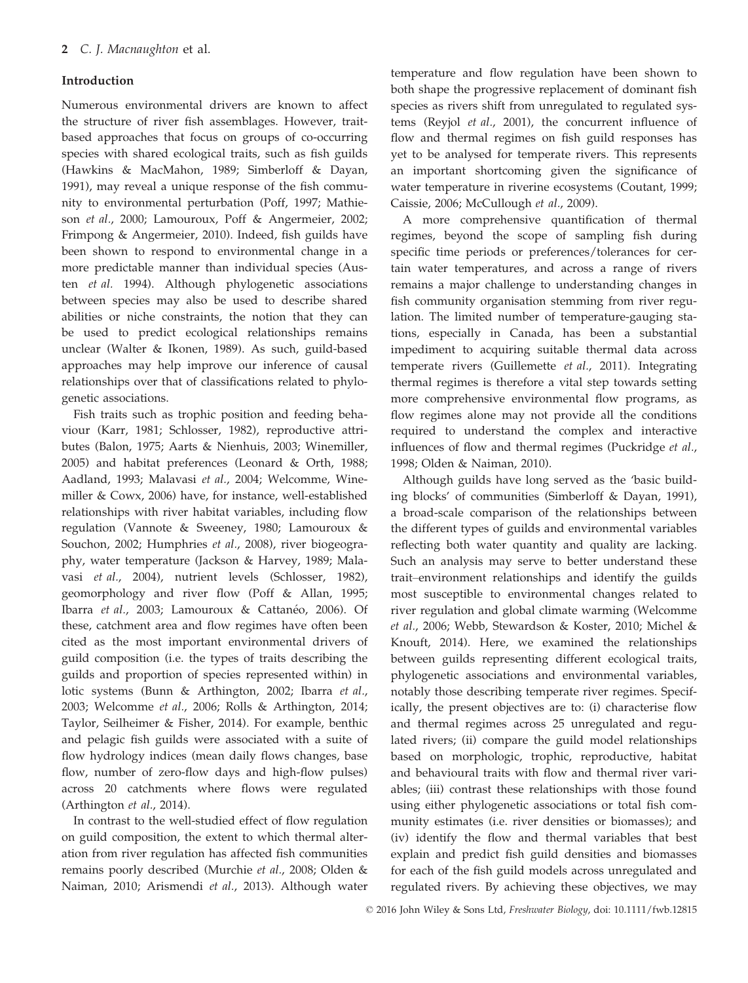# Introduction

Numerous environmental drivers are known to affect the structure of river fish assemblages. However, traitbased approaches that focus on groups of co-occurring species with shared ecological traits, such as fish guilds (Hawkins & MacMahon, 1989; Simberloff & Dayan, 1991), may reveal a unique response of the fish community to environmental perturbation (Poff, 1997; Mathieson et al., 2000; Lamouroux, Poff & Angermeier, 2002; Frimpong & Angermeier, 2010). Indeed, fish guilds have been shown to respond to environmental change in a more predictable manner than individual species (Austen et al. 1994). Although phylogenetic associations between species may also be used to describe shared abilities or niche constraints, the notion that they can be used to predict ecological relationships remains unclear (Walter & Ikonen, 1989). As such, guild-based approaches may help improve our inference of causal relationships over that of classifications related to phylogenetic associations.

Fish traits such as trophic position and feeding behaviour (Karr, 1981; Schlosser, 1982), reproductive attributes (Balon, 1975; Aarts & Nienhuis, 2003; Winemiller, 2005) and habitat preferences (Leonard & Orth, 1988; Aadland, 1993; Malavasi et al., 2004; Welcomme, Winemiller & Cowx, 2006) have, for instance, well-established relationships with river habitat variables, including flow regulation (Vannote & Sweeney, 1980; Lamouroux & Souchon, 2002; Humphries et al., 2008), river biogeography, water temperature (Jackson & Harvey, 1989; Malavasi et al., 2004), nutrient levels (Schlosser, 1982), geomorphology and river flow (Poff & Allan, 1995; Ibarra et al., 2003; Lamouroux & Cattanéo, 2006). Of these, catchment area and flow regimes have often been cited as the most important environmental drivers of guild composition (i.e. the types of traits describing the guilds and proportion of species represented within) in lotic systems (Bunn & Arthington, 2002; Ibarra et al., 2003; Welcomme et al., 2006; Rolls & Arthington, 2014; Taylor, Seilheimer & Fisher, 2014). For example, benthic and pelagic fish guilds were associated with a suite of flow hydrology indices (mean daily flows changes, base flow, number of zero-flow days and high-flow pulses) across 20 catchments where flows were regulated (Arthington et al., 2014).

In contrast to the well-studied effect of flow regulation on guild composition, the extent to which thermal alteration from river regulation has affected fish communities remains poorly described (Murchie et al., 2008; Olden & Naiman, 2010; Arismendi et al., 2013). Although water temperature and flow regulation have been shown to both shape the progressive replacement of dominant fish species as rivers shift from unregulated to regulated systems (Reyjol et al., 2001), the concurrent influence of flow and thermal regimes on fish guild responses has yet to be analysed for temperate rivers. This represents an important shortcoming given the significance of water temperature in riverine ecosystems (Coutant, 1999; Caissie, 2006; McCullough et al., 2009).

A more comprehensive quantification of thermal regimes, beyond the scope of sampling fish during specific time periods or preferences/tolerances for certain water temperatures, and across a range of rivers remains a major challenge to understanding changes in fish community organisation stemming from river regulation. The limited number of temperature-gauging stations, especially in Canada, has been a substantial impediment to acquiring suitable thermal data across temperate rivers (Guillemette et al., 2011). Integrating thermal regimes is therefore a vital step towards setting more comprehensive environmental flow programs, as flow regimes alone may not provide all the conditions required to understand the complex and interactive influences of flow and thermal regimes (Puckridge et al., 1998; Olden & Naiman, 2010).

Although guilds have long served as the 'basic building blocks' of communities (Simberloff & Dayan, 1991), a broad-scale comparison of the relationships between the different types of guilds and environmental variables reflecting both water quantity and quality are lacking. Such an analysis may serve to better understand these trait–environment relationships and identify the guilds most susceptible to environmental changes related to river regulation and global climate warming (Welcomme et al., 2006; Webb, Stewardson & Koster, 2010; Michel & Knouft, 2014). Here, we examined the relationships between guilds representing different ecological traits, phylogenetic associations and environmental variables, notably those describing temperate river regimes. Specifically, the present objectives are to: (i) characterise flow and thermal regimes across 25 unregulated and regulated rivers; (ii) compare the guild model relationships based on morphologic, trophic, reproductive, habitat and behavioural traits with flow and thermal river variables; (iii) contrast these relationships with those found using either phylogenetic associations or total fish community estimates (i.e. river densities or biomasses); and (iv) identify the flow and thermal variables that best explain and predict fish guild densities and biomasses for each of the fish guild models across unregulated and regulated rivers. By achieving these objectives, we may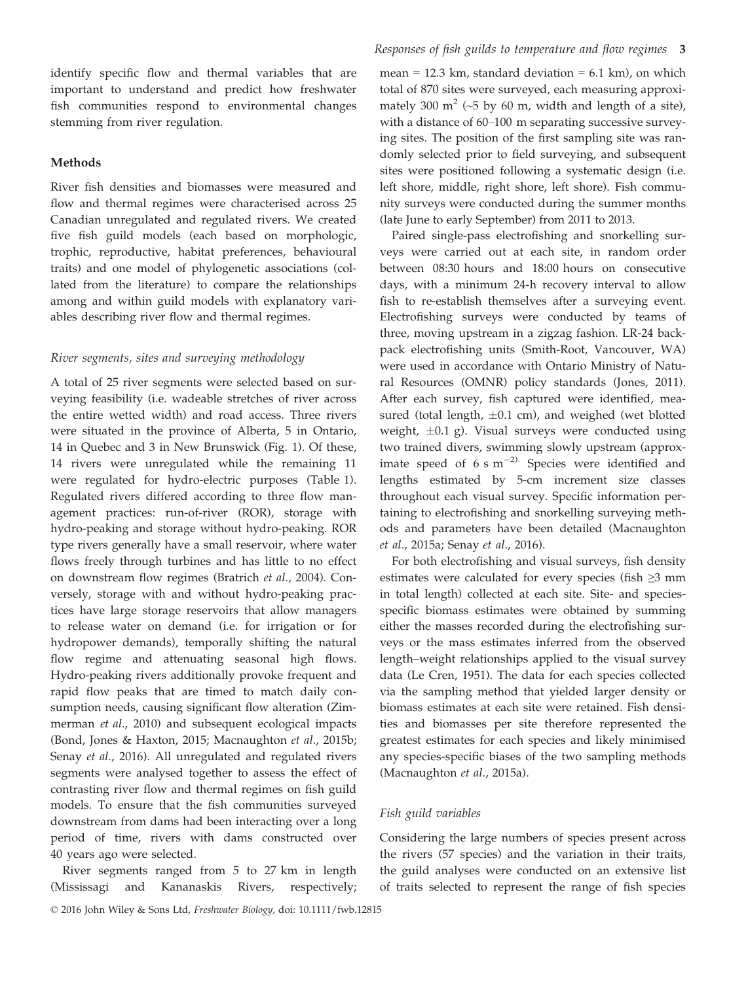identify specific flow and thermal variables that are important to understand and predict how freshwater fish communities respond to environmental changes stemming from river regulation.

#### Methods

River fish densities and biomasses were measured and flow and thermal regimes were characterised across 25 Canadian unregulated and regulated rivers. We created five fish guild models (each based on morphologic, trophic, reproductive, habitat preferences, behavioural traits) and one model of phylogenetic associations (collated from the literature) to compare the relationships among and within guild models with explanatory variables describing river flow and thermal regimes.

# River segments, sites and surveying methodology

A total of 25 river segments were selected based on surveying feasibility (i.e. wadeable stretches of river across the entire wetted width) and road access. Three rivers were situated in the province of Alberta, 5 in Ontario, 14 in Quebec and 3 in New Brunswick (Fig. 1). Of these, 14 rivers were unregulated while the remaining 11 were regulated for hydro-electric purposes (Table 1). Regulated rivers differed according to three flow management practices: run-of-river (ROR), storage with hydro-peaking and storage without hydro-peaking. ROR type rivers generally have a small reservoir, where water flows freely through turbines and has little to no effect on downstream flow regimes (Bratrich et al., 2004). Conversely, storage with and without hydro-peaking practices have large storage reservoirs that allow managers to release water on demand (i.e. for irrigation or for hydropower demands), temporally shifting the natural flow regime and attenuating seasonal high flows. Hydro-peaking rivers additionally provoke frequent and rapid flow peaks that are timed to match daily consumption needs, causing significant flow alteration (Zimmerman et al., 2010) and subsequent ecological impacts (Bond, Jones & Haxton, 2015; Macnaughton et al., 2015b; Senay et al., 2016). All unregulated and regulated rivers segments were analysed together to assess the effect of contrasting river flow and thermal regimes on fish guild models. To ensure that the fish communities surveyed downstream from dams had been interacting over a long period of time, rivers with dams constructed over 40 years ago were selected.

River segments ranged from 5 to 27 km in length (Mississagi and Kananaskis Rivers, respectively;

© 2016 John Wiley & Sons Ltd, Freshwater Biology, doi: 10.1111/fwb.12815

mean = 12.3 km, standard deviation = 6.1 km), on which total of 870 sites were surveyed, each measuring approximately 300  $m^2$  (~5 by 60 m, width and length of a site), with a distance of 60–100 m separating successive surveying sites. The position of the first sampling site was randomly selected prior to field surveying, and subsequent sites were positioned following a systematic design (i.e. left shore, middle, right shore, left shore). Fish community surveys were conducted during the summer months (late June to early September) from 2011 to 2013.

Paired single-pass electrofishing and snorkelling surveys were carried out at each site, in random order between 08:30 hours and 18:00 hours on consecutive days, with a minimum 24-h recovery interval to allow fish to re-establish themselves after a surveying event. Electrofishing surveys were conducted by teams of three, moving upstream in a zigzag fashion. LR-24 backpack electrofishing units (Smith-Root, Vancouver, WA) were used in accordance with Ontario Ministry of Natural Resources (OMNR) policy standards (Jones, 2011). After each survey, fish captured were identified, measured (total length,  $\pm 0.1$  cm), and weighed (wet blotted weight,  $\pm 0.1$  g). Visual surveys were conducted using two trained divers, swimming slowly upstream (approximate speed of 6 s  $m^{-2}$ . Species were identified and lengths estimated by 5-cm increment size classes throughout each visual survey. Specific information pertaining to electrofishing and snorkelling surveying methods and parameters have been detailed (Macnaughton et al., 2015a; Senay et al., 2016).

For both electrofishing and visual surveys, fish density estimates were calculated for every species (fish ≥3 mm in total length) collected at each site. Site- and speciesspecific biomass estimates were obtained by summing either the masses recorded during the electrofishing surveys or the mass estimates inferred from the observed length–weight relationships applied to the visual survey data (Le Cren, 1951). The data for each species collected via the sampling method that yielded larger density or biomass estimates at each site were retained. Fish densities and biomasses per site therefore represented the greatest estimates for each species and likely minimised any species-specific biases of the two sampling methods (Macnaughton et al., 2015a).

## Fish guild variables

Considering the large numbers of species present across the rivers (57 species) and the variation in their traits, the guild analyses were conducted on an extensive list of traits selected to represent the range of fish species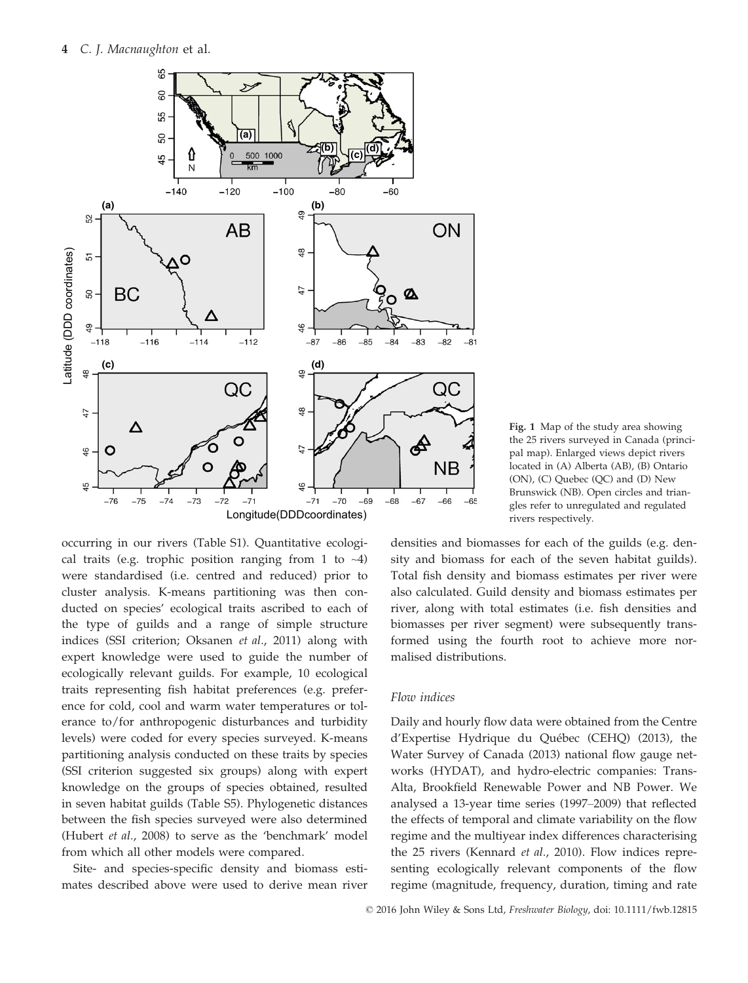

occurring in our rivers (Table S1). Quantitative ecological traits (e.g. trophic position ranging from 1 to  $\sim$ 4) were standardised (i.e. centred and reduced) prior to cluster analysis. K-means partitioning was then conducted on species' ecological traits ascribed to each of the type of guilds and a range of simple structure indices (SSI criterion; Oksanen et al., 2011) along with expert knowledge were used to guide the number of ecologically relevant guilds. For example, 10 ecological traits representing fish habitat preferences (e.g. preference for cold, cool and warm water temperatures or tolerance to/for anthropogenic disturbances and turbidity levels) were coded for every species surveyed. K-means partitioning analysis conducted on these traits by species (SSI criterion suggested six groups) along with expert knowledge on the groups of species obtained, resulted in seven habitat guilds (Table S5). Phylogenetic distances between the fish species surveyed were also determined (Hubert et al., 2008) to serve as the 'benchmark' model from which all other models were compared.

Site- and species-specific density and biomass estimates described above were used to derive mean river

Fig. 1 Map of the study area showing the 25 rivers surveyed in Canada (principal map). Enlarged views depict rivers located in (A) Alberta (AB), (B) Ontario (ON), (C) Quebec (QC) and (D) New Brunswick (NB). Open circles and triangles refer to unregulated and regulated rivers respectively.

densities and biomasses for each of the guilds (e.g. density and biomass for each of the seven habitat guilds). Total fish density and biomass estimates per river were also calculated. Guild density and biomass estimates per river, along with total estimates (i.e. fish densities and biomasses per river segment) were subsequently transformed using the fourth root to achieve more normalised distributions.

## Flow indices

Daily and hourly flow data were obtained from the Centre d'Expertise Hydrique du Quebec (CEHQ) (2013), the Water Survey of Canada (2013) national flow gauge networks (HYDAT), and hydro-electric companies: Trans-Alta, Brookfield Renewable Power and NB Power. We analysed a 13-year time series (1997–2009) that reflected the effects of temporal and climate variability on the flow regime and the multiyear index differences characterising the 25 rivers (Kennard et al., 2010). Flow indices representing ecologically relevant components of the flow regime (magnitude, frequency, duration, timing and rate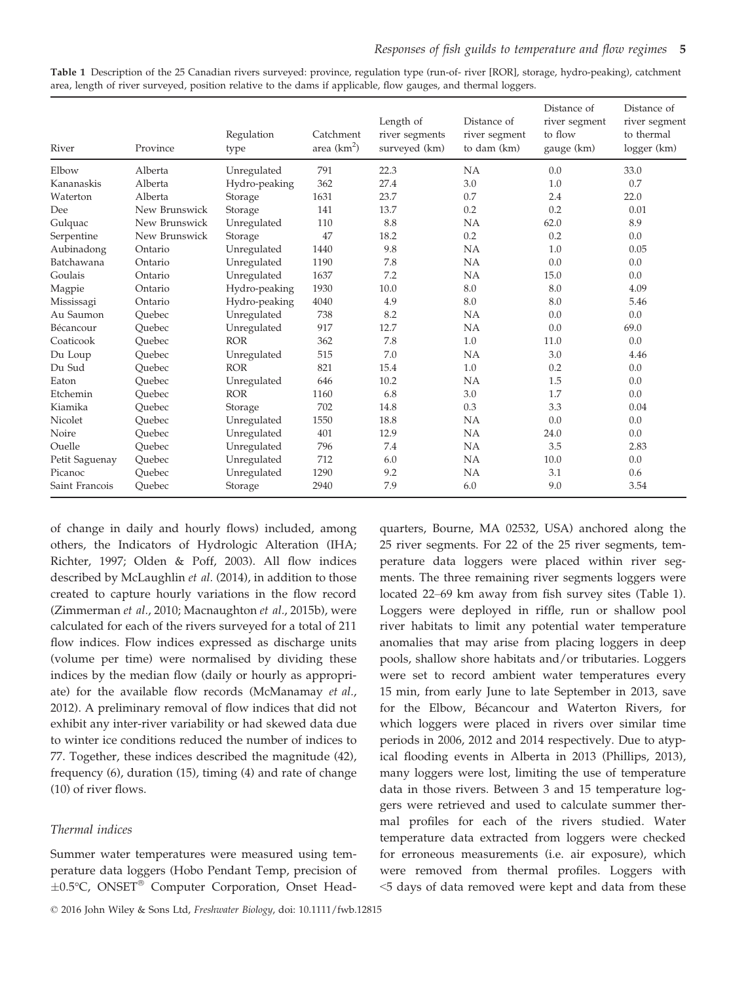| Table 1 Description of the 25 Canadian rivers surveyed: province, regulation type (run-of- river [ROR], storage, hydro-peaking), catchment |  |
|--------------------------------------------------------------------------------------------------------------------------------------------|--|
| area, length of river surveyed, position relative to the dams if applicable, flow gauges, and thermal loggers.                             |  |

| River          | Province      | Regulation<br>type | Catchment<br>area $(km^2)$ | Length of<br>river segments<br>surveyed (km) | Distance of<br>river segment<br>to dam (km) | Distance of<br>river segment<br>to flow<br>gauge (km) | Distance of<br>river segment<br>to thermal<br>logger (km) |
|----------------|---------------|--------------------|----------------------------|----------------------------------------------|---------------------------------------------|-------------------------------------------------------|-----------------------------------------------------------|
| Elbow          | Alberta       | Unregulated        | 791                        | 22.3                                         | <b>NA</b>                                   | 0.0                                                   | 33.0                                                      |
| Kananaskis     | Alberta       | Hydro-peaking      | 362                        | 27.4                                         | 3.0                                         | 1.0                                                   | 0.7                                                       |
| Waterton       | Alberta       | Storage            | 1631                       | 23.7                                         | 0.7                                         | 2.4                                                   | 22.0                                                      |
| Dee            | New Brunswick | Storage            | 141                        | 13.7                                         | 0.2                                         | 0.2                                                   | 0.01                                                      |
| Gulquac        | New Brunswick | Unregulated        | 110                        | 8.8                                          | NA                                          | 62.0                                                  | 8.9                                                       |
| Serpentine     | New Brunswick | Storage            | 47                         | 18.2                                         | 0.2                                         | 0.2                                                   | 0.0                                                       |
| Aubinadong     | Ontario       | Unregulated        | 1440                       | 9.8                                          | NA                                          | 1.0                                                   | 0.05                                                      |
| Batchawana     | Ontario       | Unregulated        | 1190                       | 7.8                                          | NA                                          | 0.0                                                   | 0.0                                                       |
| Goulais        | Ontario       | Unregulated        | 1637                       | 7.2                                          | <b>NA</b>                                   | 15.0                                                  | 0.0                                                       |
| Magpie         | Ontario       | Hydro-peaking      | 1930                       | 10.0                                         | 8.0                                         | 8.0                                                   | 4.09                                                      |
| Mississagi     | Ontario       | Hydro-peaking      | 4040                       | 4.9                                          | 8.0                                         | 8.0                                                   | 5.46                                                      |
| Au Saumon      | Ouebec        | Unregulated        | 738                        | 8.2                                          | <b>NA</b>                                   | 0.0                                                   | 0.0                                                       |
| Bécancour      | Ouebec        | Unregulated        | 917                        | 12.7                                         | <b>NA</b>                                   | 0.0                                                   | 69.0                                                      |
| Coaticook      | Ouebec        | <b>ROR</b>         | 362                        | 7.8                                          | 1.0                                         | 11.0                                                  | 0.0                                                       |
| Du Loup        | Ouebec        | Unregulated        | 515                        | 7.0                                          | <b>NA</b>                                   | 3.0                                                   | 4.46                                                      |
| Du Sud         | Ouebec        | <b>ROR</b>         | 821                        | 15.4                                         | 1.0                                         | 0.2                                                   | 0.0                                                       |
| Eaton          | Ouebec        | Unregulated        | 646                        | 10.2                                         | <b>NA</b>                                   | 1.5                                                   | 0.0                                                       |
| Etchemin       | Ouebec        | <b>ROR</b>         | 1160                       | 6.8                                          | 3.0                                         | 1.7                                                   | 0.0                                                       |
| Kiamika        | Ouebec        | Storage            | 702                        | 14.8                                         | 0.3                                         | 3.3                                                   | 0.04                                                      |
| Nicolet        | Ouebec        | Unregulated        | 1550                       | 18.8                                         | <b>NA</b>                                   | 0.0                                                   | 0.0                                                       |
| Noire          | Ouebec        | Unregulated        | 401                        | 12.9                                         | NA                                          | 24.0                                                  | 0.0                                                       |
| Ouelle         | Ouebec        | Unregulated        | 796                        | 7.4                                          | NA                                          | 3.5                                                   | 2.83                                                      |
| Petit Saguenay | Ouebec        | Unregulated        | 712                        | 6.0                                          | NA                                          | 10.0                                                  | 0.0                                                       |
| Picanoc        | Ouebec        | Unregulated        | 1290                       | 9.2                                          | <b>NA</b>                                   | 3.1                                                   | 0.6                                                       |
| Saint Francois | Ouebec        | Storage            | 2940                       | 7.9                                          | 6.0                                         | 9.0                                                   | 3.54                                                      |

of change in daily and hourly flows) included, among others, the Indicators of Hydrologic Alteration (IHA; Richter, 1997; Olden & Poff, 2003). All flow indices described by McLaughlin et al. (2014), in addition to those created to capture hourly variations in the flow record (Zimmerman et al., 2010; Macnaughton et al., 2015b), were calculated for each of the rivers surveyed for a total of 211 flow indices. Flow indices expressed as discharge units (volume per time) were normalised by dividing these indices by the median flow (daily or hourly as appropriate) for the available flow records (McManamay et al., 2012). A preliminary removal of flow indices that did not exhibit any inter-river variability or had skewed data due to winter ice conditions reduced the number of indices to 77. Together, these indices described the magnitude (42), frequency (6), duration (15), timing (4) and rate of change (10) of river flows.

## Thermal indices

Summer water temperatures were measured using temperature data loggers (Hobo Pendant Temp, precision of  $\pm 0.5$ °C, ONSET<sup>®</sup> Computer Corporation, Onset Head-

© 2016 John Wiley & Sons Ltd, Freshwater Biology, doi: 10.1111/fwb.12815

quarters, Bourne, MA 02532, USA) anchored along the 25 river segments. For 22 of the 25 river segments, temperature data loggers were placed within river segments. The three remaining river segments loggers were located 22–69 km away from fish survey sites (Table 1). Loggers were deployed in riffle, run or shallow pool river habitats to limit any potential water temperature anomalies that may arise from placing loggers in deep pools, shallow shore habitats and/or tributaries. Loggers were set to record ambient water temperatures every 15 min, from early June to late September in 2013, save for the Elbow, Bécancour and Waterton Rivers, for which loggers were placed in rivers over similar time periods in 2006, 2012 and 2014 respectively. Due to atypical flooding events in Alberta in 2013 (Phillips, 2013), many loggers were lost, limiting the use of temperature data in those rivers. Between 3 and 15 temperature loggers were retrieved and used to calculate summer thermal profiles for each of the rivers studied. Water temperature data extracted from loggers were checked for erroneous measurements (i.e. air exposure), which were removed from thermal profiles. Loggers with <5 days of data removed were kept and data from these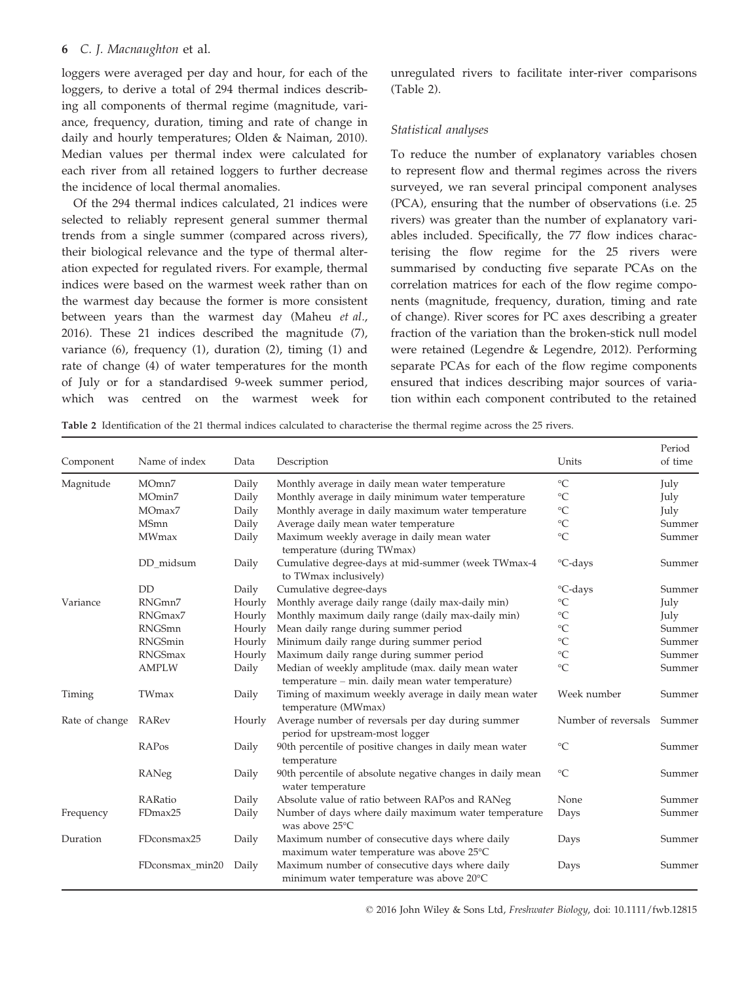## 6 C. J. Macnaughton et al.

loggers were averaged per day and hour, for each of the loggers, to derive a total of 294 thermal indices describing all components of thermal regime (magnitude, variance, frequency, duration, timing and rate of change in daily and hourly temperatures; Olden & Naiman, 2010). Median values per thermal index were calculated for each river from all retained loggers to further decrease the incidence of local thermal anomalies.

Of the 294 thermal indices calculated, 21 indices were selected to reliably represent general summer thermal trends from a single summer (compared across rivers), their biological relevance and the type of thermal alteration expected for regulated rivers. For example, thermal indices were based on the warmest week rather than on the warmest day because the former is more consistent between years than the warmest day (Maheu et al., 2016). These 21 indices described the magnitude (7), variance (6), frequency (1), duration (2), timing (1) and rate of change (4) of water temperatures for the month of July or for a standardised 9-week summer period, which was centred on the warmest week for unregulated rivers to facilitate inter-river comparisons (Table 2).

#### Statistical analyses

To reduce the number of explanatory variables chosen to represent flow and thermal regimes across the rivers surveyed, we ran several principal component analyses (PCA), ensuring that the number of observations (i.e. 25 rivers) was greater than the number of explanatory variables included. Specifically, the 77 flow indices characterising the flow regime for the 25 rivers were summarised by conducting five separate PCAs on the correlation matrices for each of the flow regime components (magnitude, frequency, duration, timing and rate of change). River scores for PC axes describing a greater fraction of the variation than the broken-stick null model were retained (Legendre & Legendre, 2012). Performing separate PCAs for each of the flow regime components ensured that indices describing major sources of variation within each component contributed to the retained

Table 2 Identification of the 21 thermal indices calculated to characterise the thermal regime across the 25 rivers.

| Component            | Name of index       | Data   | Description                                                                                           | Units               | Period<br>of time |
|----------------------|---------------------|--------|-------------------------------------------------------------------------------------------------------|---------------------|-------------------|
| Magnitude            | MO <sub>mn</sub> 7  | Daily  | Monthly average in daily mean water temperature                                                       | $\rm ^{\circ}C$     | July              |
|                      | MOmin7              | Daily  | Monthly average in daily minimum water temperature                                                    | $\rm ^{\circ}C$     | July              |
|                      | MO <sub>max</sub> 7 | Daily  | Monthly average in daily maximum water temperature                                                    | $\rm ^{\circ}C$     | July              |
|                      | <b>MSmn</b>         | Daily  | Average daily mean water temperature                                                                  | $\rm ^{\circ}C$     | Summer            |
|                      | <b>MWmax</b>        | Daily  | Maximum weekly average in daily mean water<br>temperature (during TWmax)                              | $\rm ^{\circ}C$     | Summer            |
|                      | DD midsum           | Daily  | Cumulative degree-days at mid-summer (week TWmax-4<br>to TWmax inclusively)                           | °C-days             | Summer            |
|                      | <b>DD</b>           | Daily  | Cumulative degree-days                                                                                | °C-days             | Summer            |
| Variance             | RNGmn7              | Hourly | Monthly average daily range (daily max-daily min)                                                     | $\rm ^{\circ}C$     | July              |
|                      | RNGmax7             | Hourly | Monthly maximum daily range (daily max-daily min)                                                     | $\rm ^{\circ}C$     | July              |
|                      | <b>RNGSmn</b>       | Hourly | Mean daily range during summer period                                                                 | $\rm ^{\circ}C$     | Summer            |
|                      | RNGSmin             | Hourly | Minimum daily range during summer period                                                              | $\rm ^{\circ}C$     | Summer            |
|                      | <b>RNGSmax</b>      | Hourly | Maximum daily range during summer period                                                              | $\rm ^{\circ}C$     | Summer            |
|                      | <b>AMPLW</b>        | Daily  | Median of weekly amplitude (max. daily mean water<br>temperature - min. daily mean water temperature) | $\rm ^{\circ}C$     | Summer            |
| Timing               | TWmax               | Daily  | Timing of maximum weekly average in daily mean water<br>temperature (MWmax)                           | Week number         | Summer            |
| Rate of change RARev |                     | Hourly | Average number of reversals per day during summer<br>period for upstream-most logger                  | Number of reversals | Summer            |
|                      | RAPos               | Daily  | 90th percentile of positive changes in daily mean water<br>temperature                                | $\rm ^{\circ}C$     | Summer            |
|                      | RANeg               | Daily  | 90th percentile of absolute negative changes in daily mean<br>water temperature                       | $\rm ^{\circ}C$     | Summer            |
|                      | RARatio             | Daily  | Absolute value of ratio between RAPos and RANeg                                                       | None                | Summer            |
| Frequency            | FDmax25             | Daily  | Number of days where daily maximum water temperature<br>was above 25°C                                | Days                | Summer            |
| Duration             | FDconsmax25         | Daily  | Maximum number of consecutive days where daily<br>maximum water temperature was above 25°C            | Days                | Summer            |
|                      | FDconsmax min20     | Daily  | Maximum number of consecutive days where daily<br>minimum water temperature was above 20°C            | Days                | Summer            |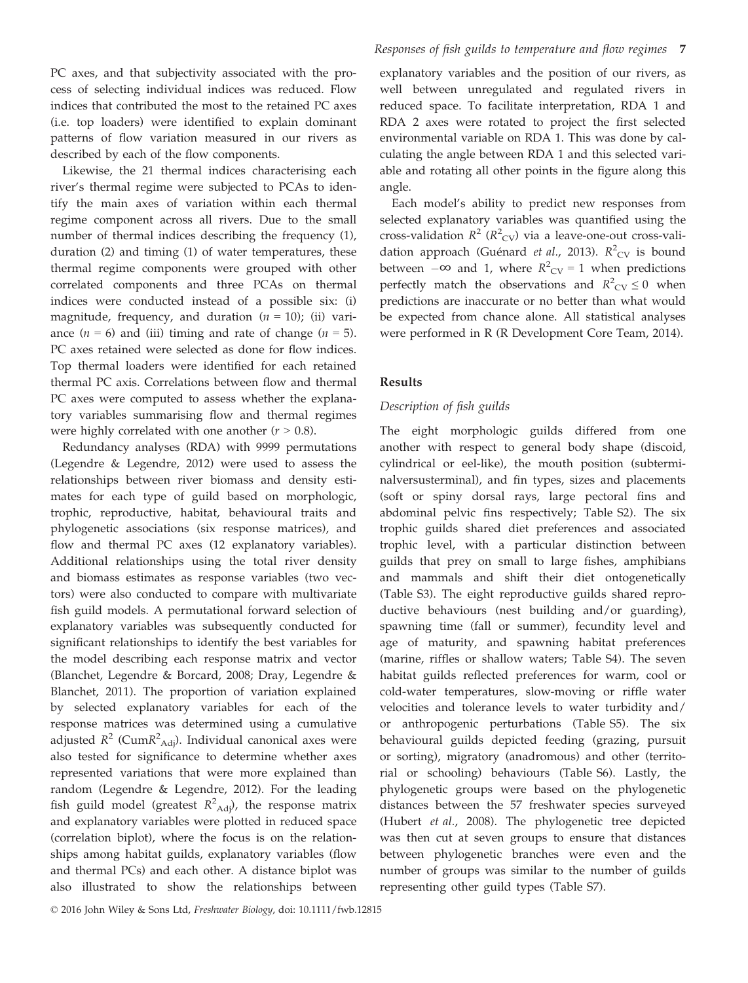PC axes, and that subjectivity associated with the process of selecting individual indices was reduced. Flow indices that contributed the most to the retained PC axes (i.e. top loaders) were identified to explain dominant patterns of flow variation measured in our rivers as described by each of the flow components.

Likewise, the 21 thermal indices characterising each river's thermal regime were subjected to PCAs to identify the main axes of variation within each thermal regime component across all rivers. Due to the small number of thermal indices describing the frequency (1), duration (2) and timing (1) of water temperatures, these thermal regime components were grouped with other correlated components and three PCAs on thermal indices were conducted instead of a possible six: (i) magnitude, frequency, and duration  $(n = 10)$ ; (ii) variance  $(n = 6)$  and (iii) timing and rate of change  $(n = 5)$ . PC axes retained were selected as done for flow indices. Top thermal loaders were identified for each retained thermal PC axis. Correlations between flow and thermal PC axes were computed to assess whether the explanatory variables summarising flow and thermal regimes were highly correlated with one another  $(r > 0.8)$ .

Redundancy analyses (RDA) with 9999 permutations (Legendre & Legendre, 2012) were used to assess the relationships between river biomass and density estimates for each type of guild based on morphologic, trophic, reproductive, habitat, behavioural traits and phylogenetic associations (six response matrices), and flow and thermal PC axes (12 explanatory variables). Additional relationships using the total river density and biomass estimates as response variables (two vectors) were also conducted to compare with multivariate fish guild models. A permutational forward selection of explanatory variables was subsequently conducted for significant relationships to identify the best variables for the model describing each response matrix and vector (Blanchet, Legendre & Borcard, 2008; Dray, Legendre & Blanchet, 2011). The proportion of variation explained by selected explanatory variables for each of the response matrices was determined using a cumulative adjusted  $R^2$  (Cum $R^2_{\;\; \mathrm{Adj}}$ ). Individual canonical axes were also tested for significance to determine whether axes represented variations that were more explained than random (Legendre & Legendre, 2012). For the leading fish guild model (greatest  $R^2_{\;\; \mathrm{Adj}}$ ), the response matrix and explanatory variables were plotted in reduced space (correlation biplot), where the focus is on the relationships among habitat guilds, explanatory variables (flow and thermal PCs) and each other. A distance biplot was also illustrated to show the relationships between

© 2016 John Wiley & Sons Ltd, Freshwater Biology, doi: 10.1111/fwb.12815

explanatory variables and the position of our rivers, as well between unregulated and regulated rivers in reduced space. To facilitate interpretation, RDA 1 and RDA 2 axes were rotated to project the first selected environmental variable on RDA 1. This was done by calculating the angle between RDA 1 and this selected variable and rotating all other points in the figure along this angle.

Each model's ability to predict new responses from selected explanatory variables was quantified using the cross-validation  $R^2$  ( $R^2$ <sub>CV</sub>) via a leave-one-out cross-validation approach (Guénard et al., 2013).  $R^2_{\text{CV}}$  is bound between  $-\infty$  and 1, where  $R^2_{\text{CV}} = 1$  when predictions perfectly match the observations and  $R^2_{CV} \le 0$  when predictions are inaccurate or no better than what would be expected from chance alone. All statistical analyses were performed in R (R Development Core Team, 2014).

## Results

#### Description of fish guilds

The eight morphologic guilds differed from one another with respect to general body shape (discoid, cylindrical or eel-like), the mouth position (subterminalversusterminal), and fin types, sizes and placements (soft or spiny dorsal rays, large pectoral fins and abdominal pelvic fins respectively; Table S2). The six trophic guilds shared diet preferences and associated trophic level, with a particular distinction between guilds that prey on small to large fishes, amphibians and mammals and shift their diet ontogenetically (Table S3). The eight reproductive guilds shared reproductive behaviours (nest building and/or guarding), spawning time (fall or summer), fecundity level and age of maturity, and spawning habitat preferences (marine, riffles or shallow waters; Table S4). The seven habitat guilds reflected preferences for warm, cool or cold-water temperatures, slow-moving or riffle water velocities and tolerance levels to water turbidity and/ or anthropogenic perturbations (Table S5). The six behavioural guilds depicted feeding (grazing, pursuit or sorting), migratory (anadromous) and other (territorial or schooling) behaviours (Table S6). Lastly, the phylogenetic groups were based on the phylogenetic distances between the 57 freshwater species surveyed (Hubert et al., 2008). The phylogenetic tree depicted was then cut at seven groups to ensure that distances between phylogenetic branches were even and the number of groups was similar to the number of guilds representing other guild types (Table S7).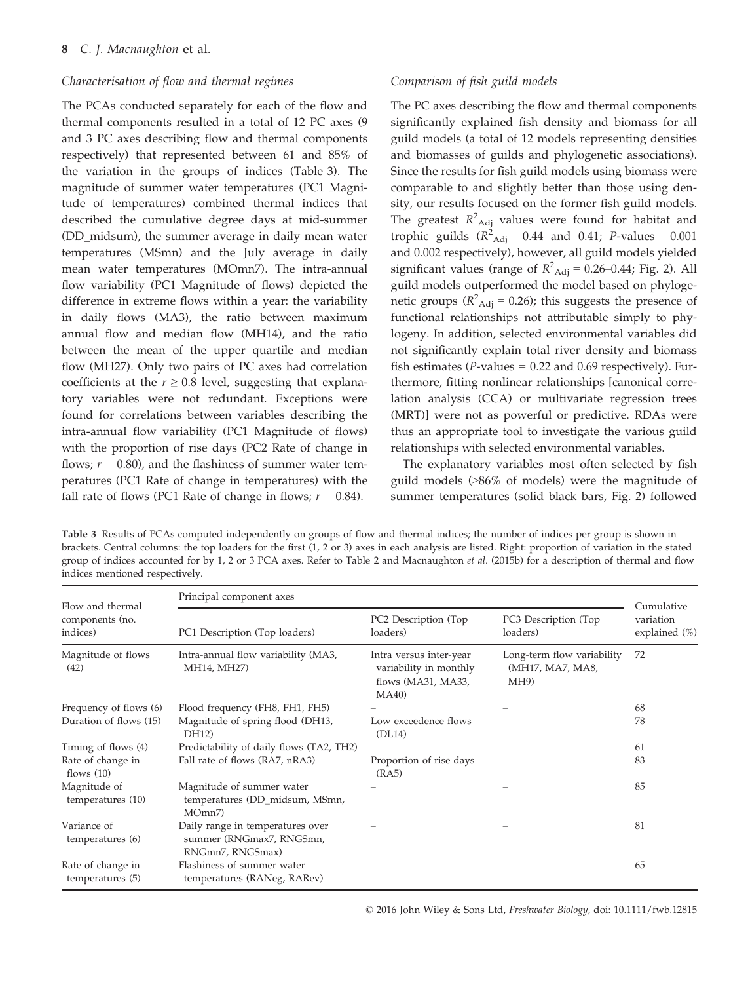# Characterisation of flow and thermal regimes

The PCAs conducted separately for each of the flow and thermal components resulted in a total of 12 PC axes (9 and 3 PC axes describing flow and thermal components respectively) that represented between 61 and 85% of the variation in the groups of indices (Table 3). The magnitude of summer water temperatures (PC1 Magnitude of temperatures) combined thermal indices that described the cumulative degree days at mid-summer (DD\_midsum), the summer average in daily mean water temperatures (MSmn) and the July average in daily mean water temperatures (MOmn7). The intra-annual flow variability (PC1 Magnitude of flows) depicted the difference in extreme flows within a year: the variability in daily flows (MA3), the ratio between maximum annual flow and median flow (MH14), and the ratio between the mean of the upper quartile and median flow (MH27). Only two pairs of PC axes had correlation coefficients at the  $r \geq 0.8$  level, suggesting that explanatory variables were not redundant. Exceptions were found for correlations between variables describing the intra-annual flow variability (PC1 Magnitude of flows) with the proportion of rise days (PC2 Rate of change in flows;  $r = 0.80$ ), and the flashiness of summer water temperatures (PC1 Rate of change in temperatures) with the fall rate of flows (PC1 Rate of change in flows;  $r = 0.84$ ).

# Comparison of fish guild models

The PC axes describing the flow and thermal components significantly explained fish density and biomass for all guild models (a total of 12 models representing densities and biomasses of guilds and phylogenetic associations). Since the results for fish guild models using biomass were comparable to and slightly better than those using density, our results focused on the former fish guild models. The greatest  $R^2$ <sub>Adj</sub> values were found for habitat and trophic guilds  $(R^2_{\text{Adj}} = 0.44 \text{ and } 0.41; P\text{-values} = 0.001$ and 0.002 respectively), however, all guild models yielded significant values (range of  $R^2_{\text{Adj}} = 0.26{\text -}0.44$ ; Fig. 2). All guild models outperformed the model based on phylogenetic groups ( $R^2$ <sub>Adj</sub> = 0.26); this suggests the presence of functional relationships not attributable simply to phylogeny. In addition, selected environmental variables did not significantly explain total river density and biomass fish estimates (*P*-values =  $0.22$  and  $0.69$  respectively). Furthermore, fitting nonlinear relationships [canonical correlation analysis (CCA) or multivariate regression trees (MRT)] were not as powerful or predictive. RDAs were thus an appropriate tool to investigate the various guild relationships with selected environmental variables.

The explanatory variables most often selected by fish guild models (>86% of models) were the magnitude of summer temperatures (solid black bars, Fig. 2) followed

Table 3 Results of PCAs computed independently on groups of flow and thermal indices; the number of indices per group is shown in brackets. Central columns: the top loaders for the first (1, 2 or 3) axes in each analysis are listed. Right: proportion of variation in the stated group of indices accounted for by 1, 2 or 3 PCA axes. Refer to Table 2 and Macnaughton et al. (2015b) for a description of thermal and flow indices mentioned respectively.

| Flow and thermal<br>components (no.<br>indices) | Principal component axes                                                           |                                                                                 |                                                       |                                          |  |
|-------------------------------------------------|------------------------------------------------------------------------------------|---------------------------------------------------------------------------------|-------------------------------------------------------|------------------------------------------|--|
|                                                 | PC1 Description (Top loaders)                                                      | PC2 Description (Top<br>loaders)                                                | PC3 Description (Top<br>loaders)                      | Cumulative<br>variation<br>explained (%) |  |
| Magnitude of flows<br>(42)                      | Intra-annual flow variability (MA3,<br>MH14, MH27)                                 | Intra versus inter-year<br>variability in monthly<br>flows (MA31, MA33,<br>MA40 | Long-term flow variability<br>(MH17, MA7, MA8,<br>MH9 | 72                                       |  |
| Frequency of flows (6)                          | Flood frequency (FH8, FH1, FH5)                                                    |                                                                                 |                                                       | 68                                       |  |
| Duration of flows (15)                          | Magnitude of spring flood (DH13,<br>DH12)                                          | Low exceedence flows<br>(DL14)                                                  |                                                       | 78                                       |  |
| Timing of flows (4)                             | Predictability of daily flows (TA2, TH2)                                           |                                                                                 |                                                       | 61                                       |  |
| Rate of change in<br>flows $(10)$               | Fall rate of flows (RA7, nRA3)                                                     | Proportion of rise days<br>(RA5)                                                |                                                       | 83                                       |  |
| Magnitude of<br>temperatures (10)               | Magnitude of summer water<br>temperatures (DD_midsum, MSmn,<br>MO <sub>mn</sub> 7) |                                                                                 |                                                       | 85                                       |  |
| Variance of<br>temperatures (6)                 | Daily range in temperatures over<br>summer (RNGmax7, RNGSmn,<br>RNGmn7, RNGSmax)   |                                                                                 |                                                       | 81                                       |  |
| Rate of change in<br>temperatures (5)           | Flashiness of summer water<br>temperatures (RANeg, RARev)                          |                                                                                 |                                                       | 65                                       |  |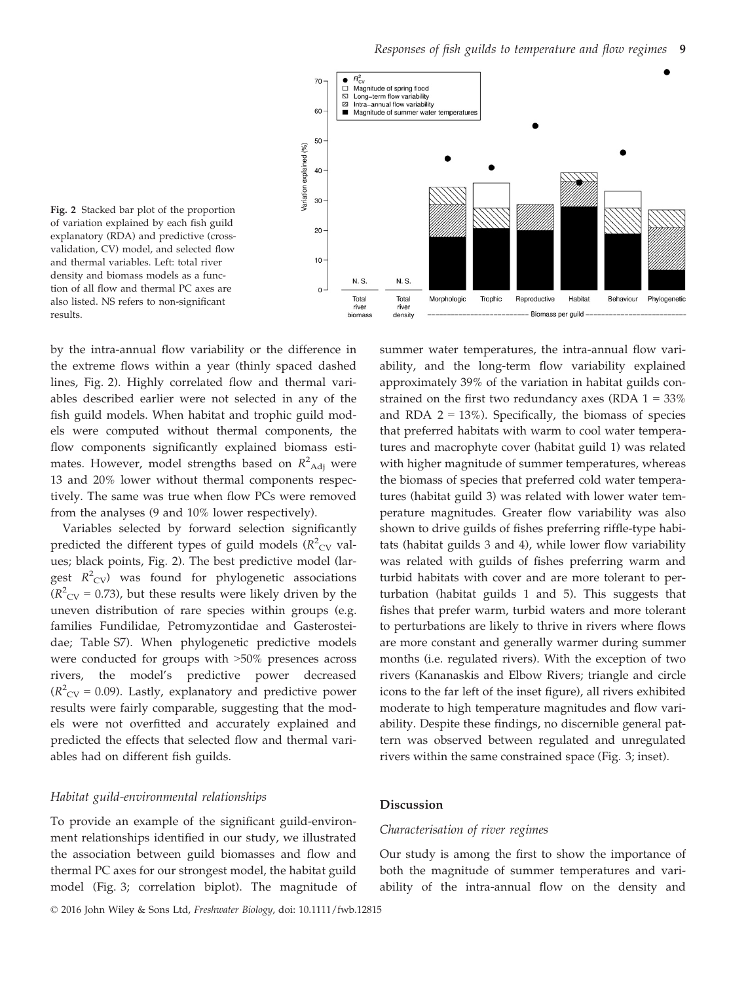

Fig. 2 Stacked bar plot of the proportion of variation explained by each fish guild explanatory (RDA) and predictive (crossvalidation, CV) model, and selected flow and thermal variables. Left: total river density and biomass models as a function of all flow and thermal PC axes are also listed. NS refers to non-significant results.

by the intra-annual flow variability or the difference in the extreme flows within a year (thinly spaced dashed lines, Fig. 2). Highly correlated flow and thermal variables described earlier were not selected in any of the fish guild models. When habitat and trophic guild models were computed without thermal components, the flow components significantly explained biomass estimates. However, model strengths based on  $R^2_{\; \; \rm Adj}$  were 13 and 20% lower without thermal components respectively. The same was true when flow PCs were removed from the analyses (9 and 10% lower respectively).

Variables selected by forward selection significantly predicted the different types of guild models ( $R^2_{\rm\,CV}$  values; black points, Fig. 2). The best predictive model (largest  $R^2$ <sub>CV</sub>) was found for phylogenetic associations  $(R<sup>2</sup><sub>CV</sub> = 0.73)$ , but these results were likely driven by the uneven distribution of rare species within groups (e.g. families Fundilidae, Petromyzontidae and Gasterosteidae; Table S7). When phylogenetic predictive models were conducted for groups with >50% presences across rivers, the model's predictive power decreased  $(R^2_{\text{CV}} = 0.09)$ . Lastly, explanatory and predictive power results were fairly comparable, suggesting that the models were not overfitted and accurately explained and predicted the effects that selected flow and thermal variables had on different fish guilds.

#### Habitat guild-environmental relationships

To provide an example of the significant guild-environment relationships identified in our study, we illustrated the association between guild biomasses and flow and thermal PC axes for our strongest model, the habitat guild model (Fig. 3; correlation biplot). The magnitude of

© 2016 John Wiley & Sons Ltd, Freshwater Biology, doi: 10.1111/fwb.12815

summer water temperatures, the intra-annual flow variability, and the long-term flow variability explained approximately 39% of the variation in habitat guilds constrained on the first two redundancy axes (RDA  $1 = 33\%$ ) and RDA  $2 = 13\%$ ). Specifically, the biomass of species that preferred habitats with warm to cool water temperatures and macrophyte cover (habitat guild 1) was related with higher magnitude of summer temperatures, whereas the biomass of species that preferred cold water temperatures (habitat guild 3) was related with lower water temperature magnitudes. Greater flow variability was also shown to drive guilds of fishes preferring riffle-type habitats (habitat guilds 3 and 4), while lower flow variability was related with guilds of fishes preferring warm and turbid habitats with cover and are more tolerant to perturbation (habitat guilds 1 and 5). This suggests that fishes that prefer warm, turbid waters and more tolerant to perturbations are likely to thrive in rivers where flows are more constant and generally warmer during summer months (i.e. regulated rivers). With the exception of two rivers (Kananaskis and Elbow Rivers; triangle and circle icons to the far left of the inset figure), all rivers exhibited moderate to high temperature magnitudes and flow variability. Despite these findings, no discernible general pattern was observed between regulated and unregulated rivers within the same constrained space (Fig. 3; inset).

# Discussion

#### Characterisation of river regimes

Our study is among the first to show the importance of both the magnitude of summer temperatures and variability of the intra-annual flow on the density and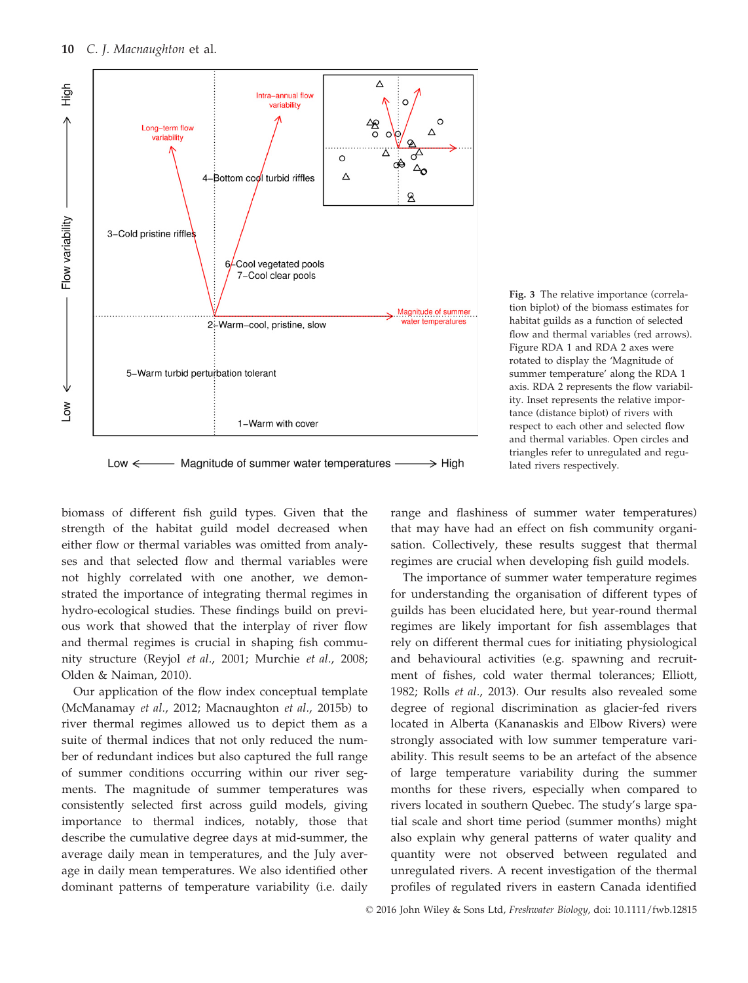

Fig. 3 The relative importance (correlation biplot) of the biomass estimates for habitat guilds as a function of selected flow and thermal variables (red arrows). Figure RDA 1 and RDA 2 axes were rotated to display the 'Magnitude of summer temperature' along the RDA 1 axis. RDA 2 represents the flow variability. Inset represents the relative importance (distance biplot) of rivers with respect to each other and selected flow and thermal variables. Open circles and triangles refer to unregulated and regulated rivers respectively.

biomass of different fish guild types. Given that the strength of the habitat guild model decreased when either flow or thermal variables was omitted from analyses and that selected flow and thermal variables were not highly correlated with one another, we demonstrated the importance of integrating thermal regimes in hydro-ecological studies. These findings build on previous work that showed that the interplay of river flow and thermal regimes is crucial in shaping fish community structure (Reyjol et al., 2001; Murchie et al., 2008; Olden & Naiman, 2010).

Our application of the flow index conceptual template (McManamay et al., 2012; Macnaughton et al., 2015b) to river thermal regimes allowed us to depict them as a suite of thermal indices that not only reduced the number of redundant indices but also captured the full range of summer conditions occurring within our river segments. The magnitude of summer temperatures was consistently selected first across guild models, giving importance to thermal indices, notably, those that describe the cumulative degree days at mid-summer, the average daily mean in temperatures, and the July average in daily mean temperatures. We also identified other dominant patterns of temperature variability (i.e. daily

range and flashiness of summer water temperatures) that may have had an effect on fish community organisation. Collectively, these results suggest that thermal regimes are crucial when developing fish guild models.

The importance of summer water temperature regimes for understanding the organisation of different types of guilds has been elucidated here, but year-round thermal regimes are likely important for fish assemblages that rely on different thermal cues for initiating physiological and behavioural activities (e.g. spawning and recruitment of fishes, cold water thermal tolerances; Elliott, 1982; Rolls et al., 2013). Our results also revealed some degree of regional discrimination as glacier-fed rivers located in Alberta (Kananaskis and Elbow Rivers) were strongly associated with low summer temperature variability. This result seems to be an artefact of the absence of large temperature variability during the summer months for these rivers, especially when compared to rivers located in southern Quebec. The study's large spatial scale and short time period (summer months) might also explain why general patterns of water quality and quantity were not observed between regulated and unregulated rivers. A recent investigation of the thermal profiles of regulated rivers in eastern Canada identified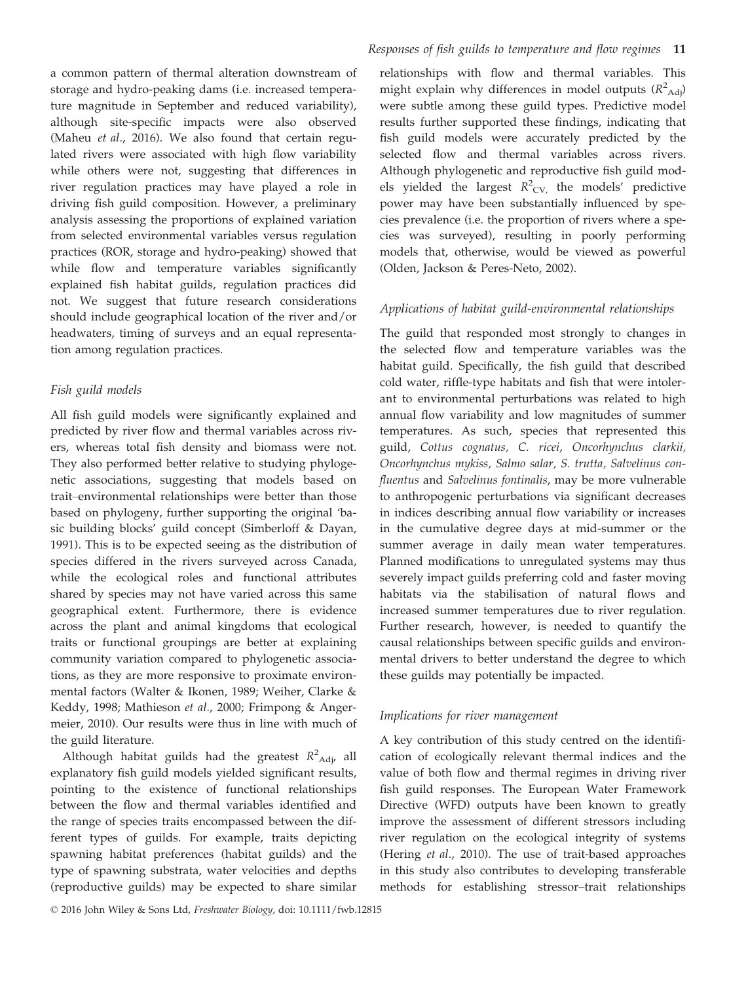a common pattern of thermal alteration downstream of storage and hydro-peaking dams (i.e. increased temperature magnitude in September and reduced variability), although site-specific impacts were also observed (Maheu et al., 2016). We also found that certain regulated rivers were associated with high flow variability while others were not, suggesting that differences in river regulation practices may have played a role in driving fish guild composition. However, a preliminary analysis assessing the proportions of explained variation from selected environmental variables versus regulation practices (ROR, storage and hydro-peaking) showed that while flow and temperature variables significantly explained fish habitat guilds, regulation practices did not. We suggest that future research considerations should include geographical location of the river and/or headwaters, timing of surveys and an equal representation among regulation practices.

#### Fish guild models

All fish guild models were significantly explained and predicted by river flow and thermal variables across rivers, whereas total fish density and biomass were not. They also performed better relative to studying phylogenetic associations, suggesting that models based on trait–environmental relationships were better than those based on phylogeny, further supporting the original 'basic building blocks' guild concept (Simberloff & Dayan, 1991). This is to be expected seeing as the distribution of species differed in the rivers surveyed across Canada, while the ecological roles and functional attributes shared by species may not have varied across this same geographical extent. Furthermore, there is evidence across the plant and animal kingdoms that ecological traits or functional groupings are better at explaining community variation compared to phylogenetic associations, as they are more responsive to proximate environmental factors (Walter & Ikonen, 1989; Weiher, Clarke & Keddy, 1998; Mathieson et al., 2000; Frimpong & Angermeier, 2010). Our results were thus in line with much of the guild literature.

Although habitat guilds had the greatest  $R^2$ <sub>Adj</sub>, all explanatory fish guild models yielded significant results, pointing to the existence of functional relationships between the flow and thermal variables identified and the range of species traits encompassed between the different types of guilds. For example, traits depicting spawning habitat preferences (habitat guilds) and the type of spawning substrata, water velocities and depths (reproductive guilds) may be expected to share similar

© 2016 John Wiley & Sons Ltd, Freshwater Biology, doi: 10.1111/fwb.12815

relationships with flow and thermal variables. This might explain why differences in model outputs  $(R^2_{\text{Adj}})$ were subtle among these guild types. Predictive model results further supported these findings, indicating that fish guild models were accurately predicted by the selected flow and thermal variables across rivers. Although phylogenetic and reproductive fish guild models yielded the largest  $R^2_{CV}$ , the models' predictive power may have been substantially influenced by species prevalence (i.e. the proportion of rivers where a species was surveyed), resulting in poorly performing models that, otherwise, would be viewed as powerful (Olden, Jackson & Peres-Neto, 2002).

# Applications of habitat guild-environmental relationships

The guild that responded most strongly to changes in the selected flow and temperature variables was the habitat guild. Specifically, the fish guild that described cold water, riffle-type habitats and fish that were intolerant to environmental perturbations was related to high annual flow variability and low magnitudes of summer temperatures. As such, species that represented this guild, Cottus cognatus, C. ricei, Oncorhynchus clarkii, Oncorhynchus mykiss, Salmo salar, S. trutta, Salvelinus confluentus and Salvelinus fontinalis, may be more vulnerable to anthropogenic perturbations via significant decreases in indices describing annual flow variability or increases in the cumulative degree days at mid-summer or the summer average in daily mean water temperatures. Planned modifications to unregulated systems may thus severely impact guilds preferring cold and faster moving habitats via the stabilisation of natural flows and increased summer temperatures due to river regulation. Further research, however, is needed to quantify the causal relationships between specific guilds and environmental drivers to better understand the degree to which these guilds may potentially be impacted.

## Implications for river management

A key contribution of this study centred on the identification of ecologically relevant thermal indices and the value of both flow and thermal regimes in driving river fish guild responses. The European Water Framework Directive (WFD) outputs have been known to greatly improve the assessment of different stressors including river regulation on the ecological integrity of systems (Hering et al., 2010). The use of trait-based approaches in this study also contributes to developing transferable methods for establishing stressor–trait relationships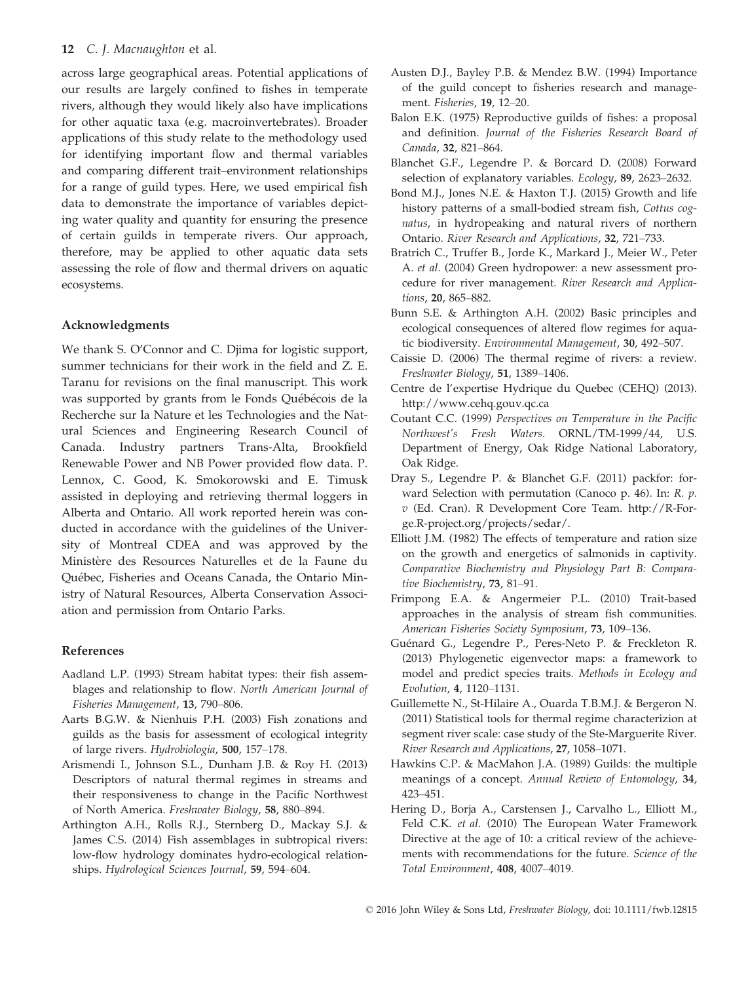# 12 C. J. Macnaughton et al.

across large geographical areas. Potential applications of our results are largely confined to fishes in temperate rivers, although they would likely also have implications for other aquatic taxa (e.g. macroinvertebrates). Broader applications of this study relate to the methodology used for identifying important flow and thermal variables and comparing different trait–environment relationships for a range of guild types. Here, we used empirical fish data to demonstrate the importance of variables depicting water quality and quantity for ensuring the presence of certain guilds in temperate rivers. Our approach, therefore, may be applied to other aquatic data sets assessing the role of flow and thermal drivers on aquatic ecosystems.

# Acknowledgments

We thank S. O'Connor and C. Djima for logistic support, summer technicians for their work in the field and Z. E. Taranu for revisions on the final manuscript. This work was supported by grants from le Fonds Québécois de la Recherche sur la Nature et les Technologies and the Natural Sciences and Engineering Research Council of Canada. Industry partners Trans-Alta, Brookfield Renewable Power and NB Power provided flow data. P. Lennox, C. Good, K. Smokorowski and E. Timusk assisted in deploying and retrieving thermal loggers in Alberta and Ontario. All work reported herein was conducted in accordance with the guidelines of the University of Montreal CDEA and was approved by the Ministère des Resources Naturelles et de la Faune du Quebec, Fisheries and Oceans Canada, the Ontario Ministry of Natural Resources, Alberta Conservation Association and permission from Ontario Parks.

## References

- Aadland L.P. (1993) Stream habitat types: their fish assemblages and relationship to flow. North American Journal of Fisheries Management, 13, 790–806.
- Aarts B.G.W. & Nienhuis P.H. (2003) Fish zonations and guilds as the basis for assessment of ecological integrity of large rivers. Hydrobiologia, 500, 157–178.
- Arismendi I., Johnson S.L., Dunham J.B. & Roy H. (2013) Descriptors of natural thermal regimes in streams and their responsiveness to change in the Pacific Northwest of North America. Freshwater Biology, 58, 880–894.
- Arthington A.H., Rolls R.J., Sternberg D., Mackay S.J. & James C.S. (2014) Fish assemblages in subtropical rivers: low-flow hydrology dominates hydro-ecological relationships. Hydrological Sciences Journal, 59, 594–604.
- Austen D.J., Bayley P.B. & Mendez B.W. (1994) Importance of the guild concept to fisheries research and management. Fisheries, 19, 12–20.
- Balon E.K. (1975) Reproductive guilds of fishes: a proposal and definition. Journal of the Fisheries Research Board of Canada, 32, 821–864.
- Blanchet G.F., Legendre P. & Borcard D. (2008) Forward selection of explanatory variables. Ecology, 89, 2623-2632.
- Bond M.J., Jones N.E. & Haxton T.J. (2015) Growth and life history patterns of a small-bodied stream fish, Cottus cognatus, in hydropeaking and natural rivers of northern Ontario. River Research and Applications, 32, 721–733.
- Bratrich C., Truffer B., Jorde K., Markard J., Meier W., Peter A. et al. (2004) Green hydropower: a new assessment procedure for river management. River Research and Applications, 20, 865–882.
- Bunn S.E. & Arthington A.H. (2002) Basic principles and ecological consequences of altered flow regimes for aquatic biodiversity. Environmental Management, 30, 492–507.
- Caissie D. (2006) The thermal regime of rivers: a review. Freshwater Biology, 51, 1389–1406.
- Centre de l'expertise Hydrique du Quebec (CEHQ) (2013). <http://www.cehq.gouv.qc.ca>
- Coutant C.C. (1999) Perspectives on Temperature in the Pacific Northwest's Fresh Waters. ORNL/TM-1999/44, U.S. Department of Energy, Oak Ridge National Laboratory, Oak Ridge.
- Dray S., Legendre P. & Blanchet G.F. (2011) packfor: forward Selection with permutation (Canoco p. 46). In: R. p. v (Ed. Cran). R Development Core Team. [http://R-For](http://R-Forge.R-project.org/projects/sedar/)[ge.R-project.org/projects/sedar/](http://R-Forge.R-project.org/projects/sedar/).
- Elliott J.M. (1982) The effects of temperature and ration size on the growth and energetics of salmonids in captivity. Comparative Biochemistry and Physiology Part B: Comparative Biochemistry, 73, 81–91.
- Frimpong E.A. & Angermeier P.L. (2010) Trait-based approaches in the analysis of stream fish communities. American Fisheries Society Symposium, 73, 109–136.
- Guénard G., Legendre P., Peres-Neto P. & Freckleton R. (2013) Phylogenetic eigenvector maps: a framework to model and predict species traits. Methods in Ecology and Evolution, 4, 1120–1131.
- Guillemette N., St-Hilaire A., Ouarda T.B.M.J. & Bergeron N. (2011) Statistical tools for thermal regime characterizion at segment river scale: case study of the Ste-Marguerite River. River Research and Applications, 27, 1058–1071.
- Hawkins C.P. & MacMahon J.A. (1989) Guilds: the multiple meanings of a concept. Annual Review of Entomology, 34, 423–451.
- Hering D., Borja A., Carstensen J., Carvalho L., Elliott M., Feld C.K. et al. (2010) The European Water Framework Directive at the age of 10: a critical review of the achievements with recommendations for the future. Science of the Total Environment, 408, 4007–4019.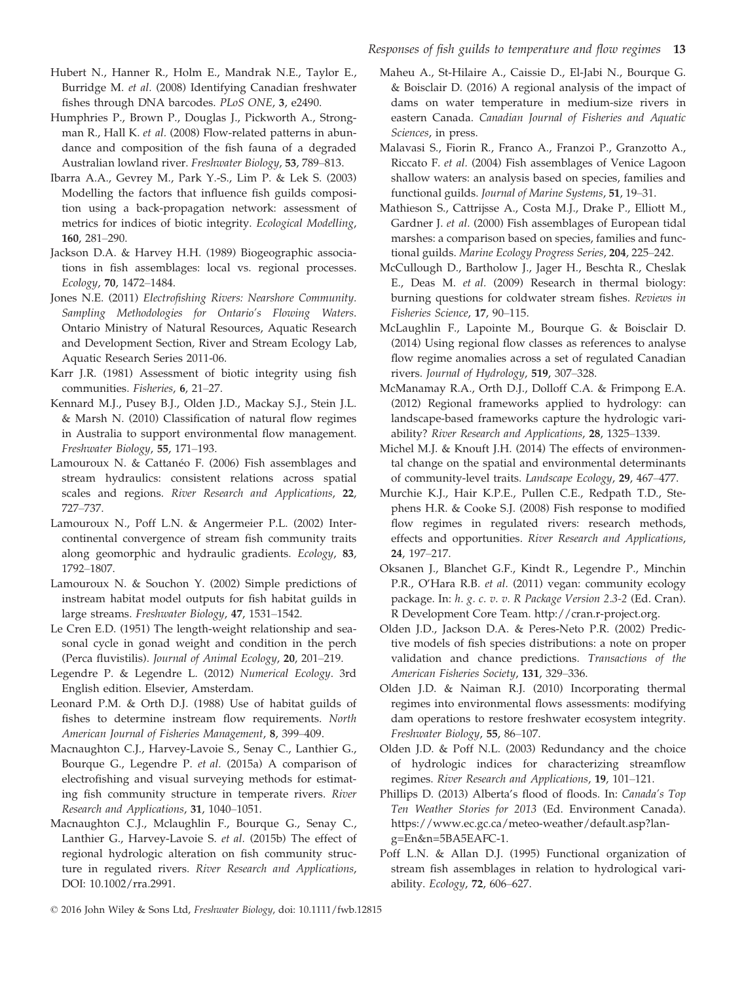Hubert N., Hanner R., Holm E., Mandrak N.E., Taylor E., Burridge M. et al. (2008) Identifying Canadian freshwater fishes through DNA barcodes. PLoS ONE, 3, e2490.

Humphries P., Brown P., Douglas J., Pickworth A., Strongman R., Hall K. et al. (2008) Flow-related patterns in abundance and composition of the fish fauna of a degraded Australian lowland river. Freshwater Biology, 53, 789–813.

Ibarra A.A., Gevrey M., Park Y.-S., Lim P. & Lek S. (2003) Modelling the factors that influence fish guilds composition using a back-propagation network: assessment of metrics for indices of biotic integrity. Ecological Modelling, 160, 281–290.

Jackson D.A. & Harvey H.H. (1989) Biogeographic associations in fish assemblages: local vs. regional processes. Ecology, 70, 1472–1484.

Jones N.E. (2011) Electrofishing Rivers: Nearshore Community. Sampling Methodologies for Ontario's Flowing Waters. Ontario Ministry of Natural Resources, Aquatic Research and Development Section, River and Stream Ecology Lab, Aquatic Research Series 2011-06.

Karr J.R. (1981) Assessment of biotic integrity using fish communities. Fisheries, 6, 21–27.

Kennard M.J., Pusey B.J., Olden J.D., Mackay S.J., Stein J.L. & Marsh N. (2010) Classification of natural flow regimes in Australia to support environmental flow management. Freshwater Biology, 55, 171–193.

Lamouroux N. & Cattanéo F. (2006) Fish assemblages and stream hydraulics: consistent relations across spatial scales and regions. River Research and Applications, 22, 727–737.

Lamouroux N., Poff L.N. & Angermeier P.L. (2002) Intercontinental convergence of stream fish community traits along geomorphic and hydraulic gradients. Ecology, 83, 1792–1807.

Lamouroux N. & Souchon Y. (2002) Simple predictions of instream habitat model outputs for fish habitat guilds in large streams. Freshwater Biology, 47, 1531–1542.

Le Cren E.D. (1951) The length-weight relationship and seasonal cycle in gonad weight and condition in the perch (Perca fluvistilis). Journal of Animal Ecology, 20, 201–219.

Legendre P. & Legendre L. (2012) Numerical Ecology. 3rd English edition. Elsevier, Amsterdam.

Leonard P.M. & Orth D.J. (1988) Use of habitat guilds of fishes to determine instream flow requirements. North American Journal of Fisheries Management, 8, 399–409.

Macnaughton C.J., Harvey-Lavoie S., Senay C., Lanthier G., Bourque G., Legendre P. et al. (2015a) A comparison of electrofishing and visual surveying methods for estimating fish community structure in temperate rivers. River Research and Applications, 31, 1040–1051.

Macnaughton C.J., Mclaughlin F., Bourque G., Senay C., Lanthier G., Harvey-Lavoie S. et al. (2015b) The effect of regional hydrologic alteration on fish community structure in regulated rivers. River Research and Applications, DOI: [10.1002/rra.2991.](http://dx.doi.org/10.1002/rra.2991)

Maheu A., St-Hilaire A., Caissie D., El-Jabi N., Bourque G. & Boisclair D. (2016) A regional analysis of the impact of dams on water temperature in medium-size rivers in eastern Canada. Canadian Journal of Fisheries and Aquatic Sciences, in press.

Malavasi S., Fiorin R., Franco A., Franzoi P., Granzotto A., Riccato F. et al. (2004) Fish assemblages of Venice Lagoon shallow waters: an analysis based on species, families and functional guilds. Journal of Marine Systems, 51, 19–31.

Mathieson S., Cattrijsse A., Costa M.J., Drake P., Elliott M., Gardner J. et al. (2000) Fish assemblages of European tidal marshes: a comparison based on species, families and functional guilds. Marine Ecology Progress Series, 204, 225–242.

McCullough D., Bartholow J., Jager H., Beschta R., Cheslak E., Deas M. et al. (2009) Research in thermal biology: burning questions for coldwater stream fishes. Reviews in Fisheries Science, 17, 90–115.

McLaughlin F., Lapointe M., Bourque G. & Boisclair D. (2014) Using regional flow classes as references to analyse flow regime anomalies across a set of regulated Canadian rivers. Journal of Hydrology, 519, 307–328.

McManamay R.A., Orth D.J., Dolloff C.A. & Frimpong E.A. (2012) Regional frameworks applied to hydrology: can landscape-based frameworks capture the hydrologic variability? River Research and Applications, 28, 1325–1339.

Michel M.J. & Knouft J.H. (2014) The effects of environmental change on the spatial and environmental determinants of community-level traits. Landscape Ecology, 29, 467–477.

Murchie K.J., Hair K.P.E., Pullen C.E., Redpath T.D., Stephens H.R. & Cooke S.J. (2008) Fish response to modified flow regimes in regulated rivers: research methods, effects and opportunities. River Research and Applications, 24, 197–217.

Oksanen J., Blanchet G.F., Kindt R., Legendre P., Minchin P.R., O'Hara R.B. et al. (2011) vegan: community ecology package. In: h. g. c. v. v. R Package Version 2.3-2 (Ed. Cran). R Development Core Team. [http://cran.r-project.org.](http://cran.r-project.org)

Olden J.D., Jackson D.A. & Peres-Neto P.R. (2002) Predictive models of fish species distributions: a note on proper validation and chance predictions. Transactions of the American Fisheries Society, 131, 329–336.

Olden J.D. & Naiman R.J. (2010) Incorporating thermal regimes into environmental flows assessments: modifying dam operations to restore freshwater ecosystem integrity. Freshwater Biology, 55, 86–107.

Olden J.D. & Poff N.L. (2003) Redundancy and the choice of hydrologic indices for characterizing streamflow regimes. River Research and Applications, 19, 101–121.

Phillips D. (2013) Alberta's flood of floods. In: Canada's Top Ten Weather Stories for 2013 (Ed. Environment Canada). [https://www.ec.gc.ca/meteo-weather/default.asp?lan](https://www.ec.gc.ca/meteo-weather/default.asp?lang=En&n=5BA5EAFC-1)[g=En&n=5BA5EAFC-1.](https://www.ec.gc.ca/meteo-weather/default.asp?lang=En&n=5BA5EAFC-1)

Poff L.N. & Allan D.J. (1995) Functional organization of stream fish assemblages in relation to hydrological variability. Ecology, 72, 606–627.